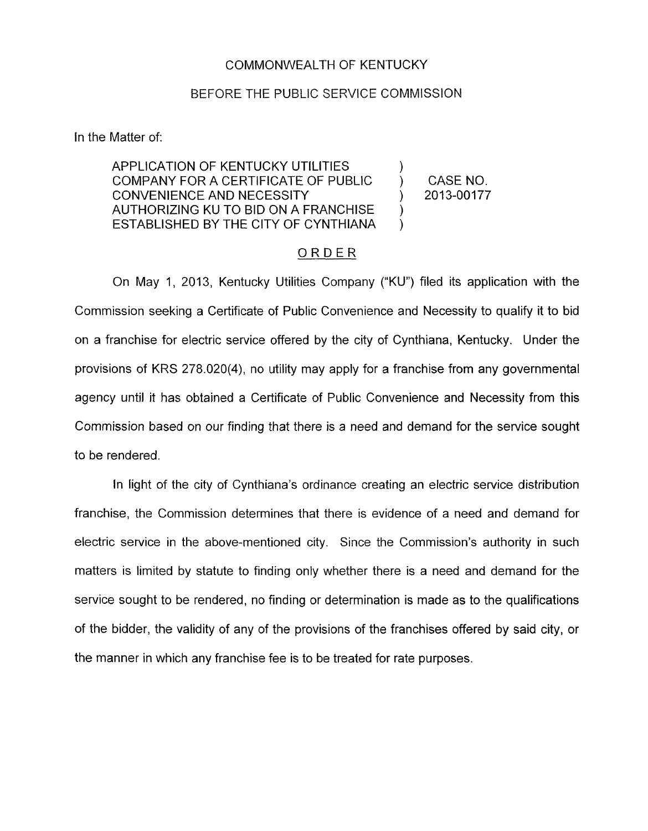## COMMONWEALTH OF KENTUCKY

## BEFORE THE PUBLIC SERVICE COMMISSION

In the Matter of:

APPLICATION OF KENTUCKY UTILITIES COMPANY FOR A CERTIFICATE OF PUBLIC  $\qquad$ ) CASE NO.<br>CONVENIENCE AND NECESSITY (2013-00177 AUTHORIZING KU TO BID ON A FRANCHISE ESTABLISHED BY THE CITY OF CYNTHIANA CONVENIENCE AND NECESSITY

) )

## ORDER

On May 1, 2013, Kentucky Utilities Company ("KU") filed its application with the Commission seeking a Certificate of Public Convenience and Necessity to qualify it to bid on a franchise for electric service offered by the city of Cynthiana, Kentucky. Under the provisions of KRS 278.020(4), no utility may apply for a franchise from any governmental agency until it has obtained a Certificate of Public Convenience and Necessity from this Commission based on our finding that there is a need and demand for the service sought to be rendered.

In light of the city of Cynthiana's ordinance creating an electric service distribution franchise, the Commission determines that there is evidence of a need and demand for electric service in the above-mentioned city. Since the Commission's authority in such matters is limited by statute to finding only whether there is a need and demand for the service sought to be rendered, no finding or determination is made as to the qualifications of the bidder, the validity of any of the provisions of the franchises offered by said city, or the manner in which any franchise fee is to be treated for rate purposes.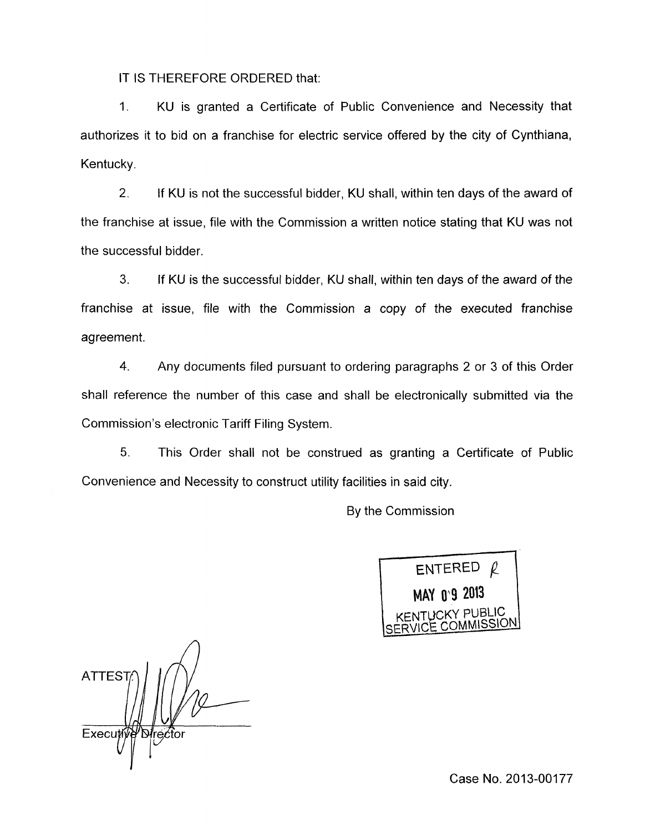IT IS THEREFORE ORDERED that:

1. KU is granted a Certificate of Public Convenience and Necessity that authorizes it to bid on a franchise for electric service offered by the city of Cynthiana, Kentucky.

2. If KU is not the successful bidder, KU shall, within ten days of the award of the franchise at issue, file with the Commission a written notice stating that KU was not the successful bidder.

**3.** If KU is the successful bidder, KU shall, within ten days of the award of the franchise at issue, file with the Commission a copy of the executed franchise agreement.

**4.** Any documents filed pursuant to ordering paragraphs 2 or 3 of this Order shall reference the number of this case and shall be electronically submitted via the Commission's electronic Tariff Filing System.

5. This Order shall not be construed as granting a Certificate of Public Convenience and Necessity to construct utility facilities in said city.

By the Commission



*n*  **ATTEST** Executiv Director